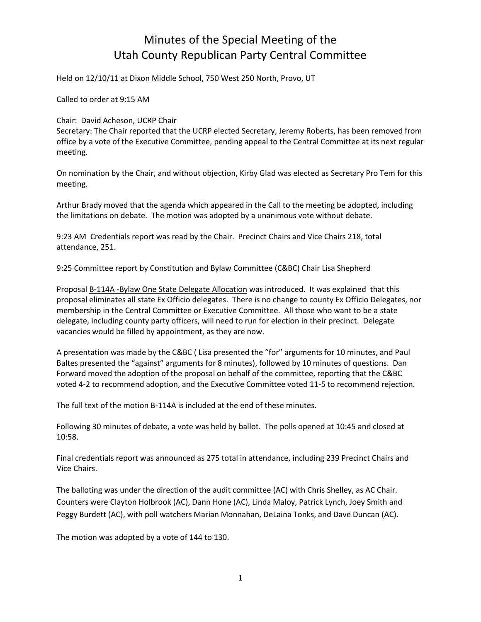# Minutes of the Special Meeting of the Utah County Republican Party Central Committee

Held on 12/10/11 at Dixon Middle School, 750 West 250 North, Provo, UT

Called to order at 9:15 AM

Chair: David Acheson, UCRP Chair

Secretary: The Chair reported that the UCRP elected Secretary, Jeremy Roberts, has been removed from office by a vote of the Executive Committee, pending appeal to the Central Committee at its next regular meeting.

On nomination by the Chair, and without objection, Kirby Glad was elected as Secretary Pro Tem for this meeting.

Arthur Brady moved that the agenda which appeared in the Call to the meeting be adopted, including the limitations on debate. The motion was adopted by a unanimous vote without debate.

9:23 AM Credentials report was read by the Chair. Precinct Chairs and Vice Chairs 218, total attendance, 251.

9:25 Committee report by Constitution and Bylaw Committee (C&BC) Chair Lisa Shepherd

Proposal B-114A -Bylaw One State Delegate Allocation was introduced. It was explained that this proposal eliminates all state Ex Officio delegates. There is no change to county Ex Officio Delegates, nor membership in the Central Committee or Executive Committee. All those who want to be a state delegate, including county party officers, will need to run for election in their precinct. Delegate vacancies would be filled by appointment, as they are now.

A presentation was made by the C&BC ( Lisa presented the "for" arguments for 10 minutes, and Paul Baltes presented the "against" arguments for 8 minutes), followed by 10 minutes of questions. Dan Forward moved the adoption of the proposal on behalf of the committee, reporting that the C&BC voted 4-2 to recommend adoption, and the Executive Committee voted 11-5 to recommend rejection.

The full text of the motion B-114A is included at the end of these minutes.

Following 30 minutes of debate, a vote was held by ballot. The polls opened at 10:45 and closed at 10:58.

Final credentials report was announced as 275 total in attendance, including 239 Precinct Chairs and Vice Chairs.

The balloting was under the direction of the audit committee (AC) with Chris Shelley, as AC Chair. Counters were Clayton Holbrook (AC), Dann Hone (AC), Linda Maloy, Patrick Lynch, Joey Smith and Peggy Burdett (AC), with poll watchers Marian Monnahan, DeLaina Tonks, and Dave Duncan (AC).

The motion was adopted by a vote of 144 to 130.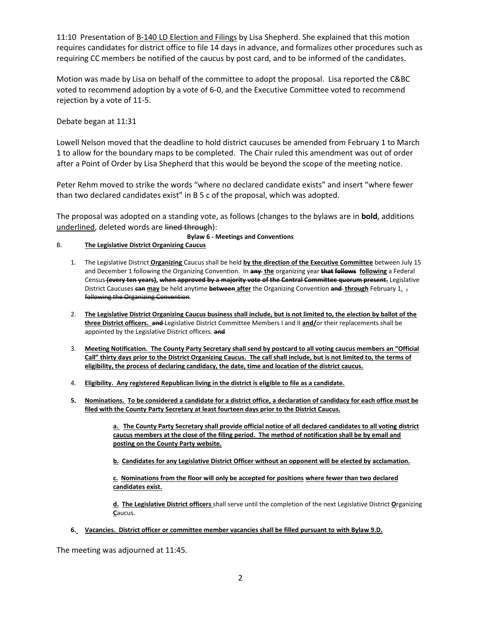11:10 Presentation of **B-140 LD Election and Filings** by Lisa Shepherd. She explained that this motion requires candidates for district office to file 14 days in advance, and formalizes other procedures such as requiring CC members be notified of the caucus by post card, and to be informed of the candidates.

Motion was made by Lisa on behalf of the committee to adopt the proposal. Lisa reported the C&BC voted to recommend adoption by a vote of 6-0, and the Executive Committee voted to recommend rejection by a vote of 11-5.

Debate began at 11:31

Lowell Nelson moved that the deadline to hold district caucuses be amended from February 1 to March 1 to allow for the boundary maps to be completed. The Chair ruled this amendment was out of order after a Point of Order by Lisa Shepherd that this would be beyond the scope of the meeting notice.

Peter Rehm moved to strike the words "where no declared candidate exists" and insert "where fewer than two declared candidates exist" in B 5 c of the proposal, which was adopted.

The proposal was adopted on a standing vote, as follows (changes to the bylaws are in **bold**, additions underlined, deleted words are lined through):

**Bylaw 6 - Meetings and Conventions**

- B. **The Legislative District Organizing Caucus** 
	- 1. The Legislative District **Organizing** Caucus shall be held **by the direction of the Executive Committee** between July 15 and December 1 following the Organizing Convention. In **any the** organizing year **that follows following** a Federal Census **(every ten years), when approved by a majority vote of the Central Committee quorum present**, Legislative District Caucuses **can may** be held anytime **between after** the Organizing Convention **and through** February 1. , following the Organizing Convention.
	- 2. **The Legislative District Organizing Caucus business shall include, but is not limited to, the election by ballot of the three District officers. and** Legislative District Committee Members I and II **and/**or their replacements shall be appointed by the Legislative District officers. **and**
	- 3. **Meeting Notification. The County Party Secretary shall send by postcard to all voting caucus members an "Official Call" thirty days prior to the District Organizing Caucus. The call shall include, but is not limited to, the terms of eligibility, the process of declaring candidacy, the date, time and location of the district caucus.**
	- 4. **Eligibility. Any registered Republican living in the district is eligible to file as a candidate.**
	- **5. Nominations. To be considered a candidate for a district office, a declaration of candidacy for each office must be filed with the County Party Secretary at least fourteen days prior to the District Caucus.**

**a. The County Party Secretary shall provide official notice of all declared candidates to all voting district caucus members at the close of the filing period. The method of notification shall be by email and posting on the County Party website.**

**b. Candidates for any Legislative District Officer without an opponent will be elected by acclamation.**

**c. Nominations from the floor will only be accepted for positions where fewer than two declared candidates exist.**

**d. The Legislative District officers** shall serve until the completion of the next Legislative District **O**rganizing **C**aucus.

**6. Vacancies. District officer or committee member vacancies shall be filled pursuant to with Bylaw 9.D.**

The meeting was adjourned at 11:45.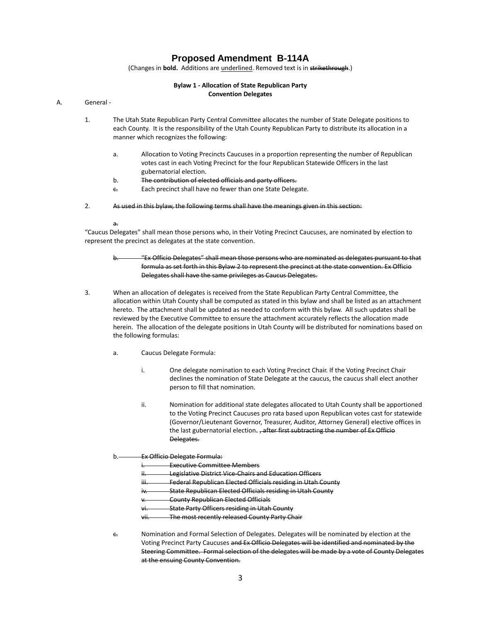## **Proposed Amendment B-114A**

(Changes in **bold.** Additions are underlined. Removed text is in strikethrough.)

### **Bylaw 1 - Allocation of State Republican Party Convention Delegates**

#### A. General -

- 1. The Utah State Republican Party Central Committee allocates the number of State Delegate positions to each County. It is the responsibility of the Utah County Republican Party to distribute its allocation in a manner which recognizes the following:
	- a. Allocation to Voting Precincts Caucuses in a proportion representing the number of Republican votes cast in each Voting Precinct for the four Republican Statewide Officers in the last gubernatorial election.
	- b. The contribution of elected officials and party officers.
	- Each precinct shall have no fewer than one State Delegate.
- 2. As used in this bylaw, the following terms shall have the meanings given in this section:

#### a.

"Caucus Delegates" shall mean those persons who, in their Voting Precinct Caucuses, are nominated by election to represent the precinct as delegates at the state convention.

- b. "Ex Officio Delegates" shall mean those persons who are nominated as delegates pursuant to that formula as set forth in this Bylaw 2 to represent the precinct at the state convention. Ex Officio Delegates shall have the same privileges as Caucus Delegates.
- 3. When an allocation of delegates is received from the State Republican Party Central Committee, the allocation within Utah County shall be computed as stated in this bylaw and shall be listed as an attachment hereto. The attachment shall be updated as needed to conform with this bylaw. All such updates shall be reviewed by the Executive Committee to ensure the attachment accurately reflects the allocation made herein. The allocation of the delegate positions in Utah County will be distributed for nominations based on the following formulas:
	- a. Caucus Delegate Formula:
		- i. One delegate nomination to each Voting Precinct Chair. If the Voting Precinct Chair declines the nomination of State Delegate at the caucus, the caucus shall elect another person to fill that nomination.
		- ii. Nomination for additional state delegates allocated to Utah County shall be apportioned to the Voting Precinct Caucuses pro rata based upon Republican votes cast for statewide (Governor/Lieutenant Governor, Treasurer, Auditor, Attorney General) elective offices in the last gubernatorial election. <del>, after first subtracting the number of Ex Officio</del> Delegates.

#### b. **Ex Officio Delegate Formula:**

Executive Committee Members

- Legislative District Vice-Chairs and Education Officers
- Federal Republican Elected Officials residing in Utah County
- State Republican Elected Officials residing in Utah County
- **County Republican Elected Officials**
- **State Party Officers residing in Utah County**
- The most recently released County Party Chair
- c. Nomination and Formal Selection of Delegates. Delegates will be nominated by election at the Voting Precinct Party Caucuses and Ex Officio Delegates will be identified and nominated by the Steering Committee. Formal selection of the delegates will be made by a vote of County Delegates at the ensuing County Convention.